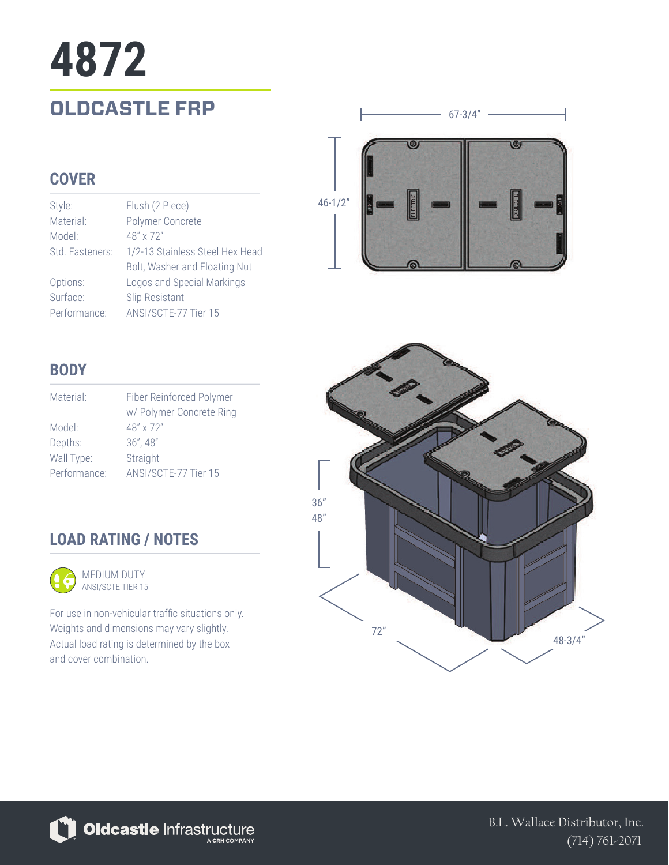# **OLDCASTLE FRP 4872**

### **COVER**

| Style:          | Flush (2 Piece)                 |
|-----------------|---------------------------------|
| Material:       | Polymer Concrete                |
| Model:          | $48'' \times 72''$              |
| Std. Fasteners: | 1/2-13 Stainless Steel Hex Head |
|                 | Bolt, Washer and Floating Nut   |
| Options:        | Logos and Special Markings      |
| Surface:        | Slip Resistant                  |
| Performance:    | ANSI/SCTE-77 Tier 15            |



 $67-3/4"$  -

#### **BODY**

| Material:    | Fiber Reinforced Polymer |
|--------------|--------------------------|
|              | w/ Polymer Concrete Ring |
| Model:       | 48" x 72"                |
| Depths:      | $36''$ , $48''$          |
| Wall Type:   | Straight                 |
| Performance: | ANSI/SCTE-77 Tier 15     |
|              |                          |

## **LOAD RATING / NOTES**



For use in non-vehicular traffic situations only. Weights and dimensions may vary slightly. Actual load rating is determined by the box and cover combination.





B.L. Wallace Distributor, Inc. (714) 761-2071